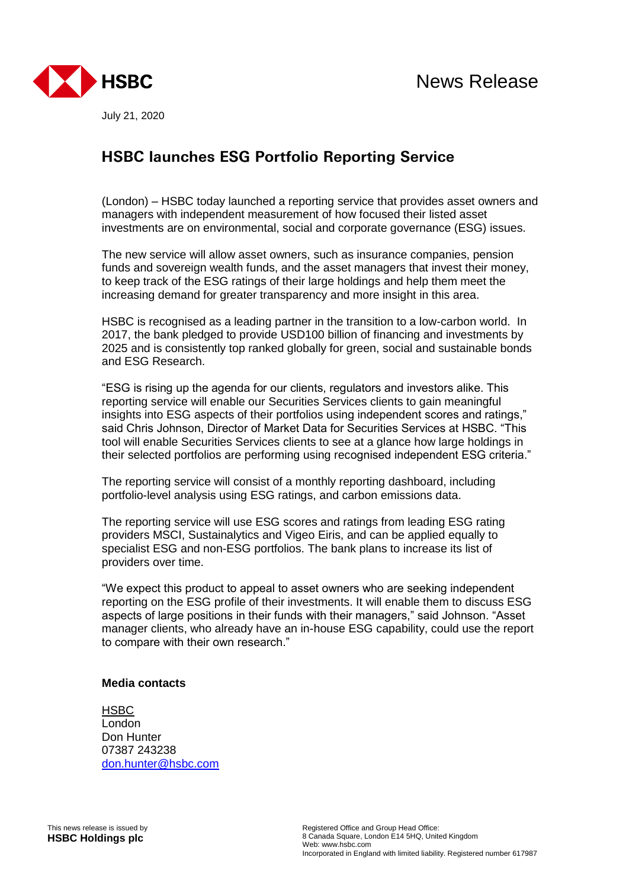

July 21, 2020

## **HSBC launches ESG Portfolio Reporting Service**

(London) – HSBC today launched a reporting service that provides asset owners and managers with independent measurement of how focused their listed asset investments are on environmental, social and corporate governance (ESG) issues.

The new service will allow asset owners, such as insurance companies, pension funds and sovereign wealth funds, and the asset managers that invest their money, to keep track of the ESG ratings of their large holdings and help them meet the increasing demand for greater transparency and more insight in this area.

HSBC is recognised as a leading partner in the transition to a low-carbon world. In 2017, the bank pledged to provide USD100 billion of financing and investments by 2025 and is consistently top ranked globally for green, social and sustainable bonds and ESG Research.

"ESG is rising up the agenda for our clients, regulators and investors alike. This reporting service will enable our Securities Services clients to gain meaningful insights into ESG aspects of their portfolios using independent scores and ratings," said Chris Johnson, Director of Market Data for Securities Services at HSBC. "This tool will enable Securities Services clients to see at a glance how large holdings in their selected portfolios are performing using recognised independent ESG criteria."

The reporting service will consist of a monthly reporting dashboard, including portfolio-level analysis using ESG ratings, and carbon emissions data.

The reporting service will use ESG scores and ratings from leading ESG rating providers MSCI, Sustainalytics and Vigeo Eiris, and can be applied equally to specialist ESG and non-ESG portfolios. The bank plans to increase its list of providers over time.

"We expect this product to appeal to asset owners who are seeking independent reporting on the ESG profile of their investments. It will enable them to discuss ESG aspects of large positions in their funds with their managers," said Johnson. "Asset manager clients, who already have an in-house ESG capability, could use the report to compare with their own research."

## **Media contacts**

HSBC London Don Hunter 07387 243238 [don.hunter@hsbc.com](mailto:don.hunter@hsbc.com)